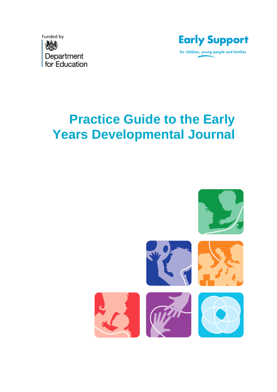



## **Practice Guide to the Early Years Developmental Journal**

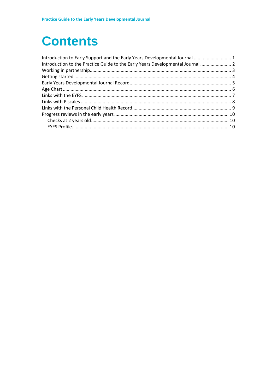### **Contents**

| Introduction to Early Support and the Early Years Developmental Journal  1     |  |
|--------------------------------------------------------------------------------|--|
| Introduction to the Practice Guide to the Early Years Developmental Journal  2 |  |
|                                                                                |  |
|                                                                                |  |
|                                                                                |  |
|                                                                                |  |
|                                                                                |  |
|                                                                                |  |
|                                                                                |  |
|                                                                                |  |
|                                                                                |  |
|                                                                                |  |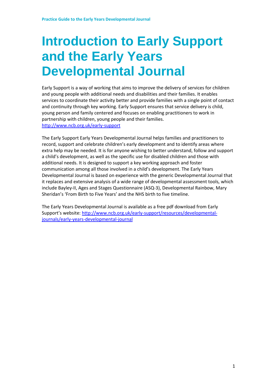## <span id="page-2-0"></span>**Introduction to Early Support and the Early Years Developmental Journal**

Early Support is a way of working that aims to improve the delivery of services for children and young people with additional needs and disabilities and their families. It enables services to coordinate their activity better and provide families with a single point of contact and continuity through key working. Early Support ensures that service delivery is child, young person and family centered and focuses on enabling practitioners to work in partnership with children, young people and their families. <http://www.ncb.org.uk/early-support>

The Early Support Early Years Developmental Journal helps families and practitioners to record, support and celebrate children's early development and to identify areas where extra help may be needed. It is for anyone wishing to better understand, follow and support a child's development, as well as the specific use for disabled children and those with additional needs. It is designed to support a key working approach and foster communication among all those involved in a child's development. The Early Years Developmental Journal is based on experience with the generic Developmental Journal that it replaces and extensive analysis of a wide range of developmental assessment tools, which include Bayley-II, Ages and Stages Questionnaire (ASQ-3), Developmental Rainbow, Mary Sheridan's 'From Birth to Five Years' and the NHS birth to five timeline.

The Early Years Developmental Journal is available as a free pdf download from Early Support's website: [http://www.ncb.org.uk/early-support/resources/developmental](http://www.ncb.org.uk/early-support/resources/developmental-journals/early-years-developmental-journal)[journals/early-years-developmental-journal](http://www.ncb.org.uk/early-support/resources/developmental-journals/early-years-developmental-journal)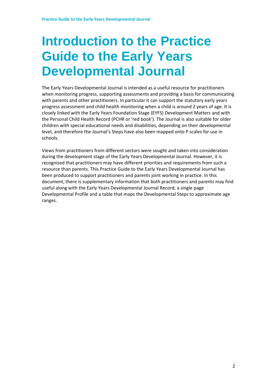### <span id="page-3-0"></span>**Introduction to the Practice Guide to the Early Years Developmental Journal**

The Early Years Developmental Journal is intended as a useful resource for practitioners when monitoring progress, supporting assessments and providing a basis for communicating with parents and other practitioners. In particular it can support the statutory early years progress assessment and child health monitoring when a child is around 2 years of age. It is closely linked with the Early Years Foundation Stage (EYFS) Development Matters and with the Personal Child Health Record (PCHR or 'red book'). The Journal is also suitable for older children with special educational needs and disabilities, depending on their developmental level, and therefore the Journal's Steps have also been mapped onto P scales for use in schools.

Views from practitioners from different sectors were sought and taken into consideration during the development stage of the Early Years Developmental Journal. However, it is recognised that practitioners may have different priorities and requirements from such a resource than parents. This Practice Guide to the Early Years Developmental Journal has been produced to support practitioners and parents joint working in practice. In this document, there is supplementary information that both practitioners and parents may find useful along with the Early Years Developmental Journal Record, a single page Developmental Profile and a table that maps the Developmental Steps to approximate age ranges.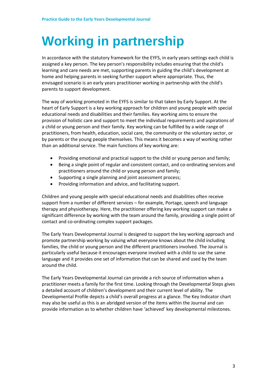# <span id="page-4-0"></span>**Working in partnership**

In accordance with the statutory framework for the EYFS, in early years settings each child is assigned a key person. The key person's responsibility includes ensuring that the child's learning and care needs are met, supporting parents in guiding the child's development at home and helping parents in seeking further support where appropriate. Thus, the envisaged scenario is an early years practitioner working in partnership with the child's parents to support development.

The way of working promoted in the EYFS is similar to that taken by Early Support. At the heart of Early Support is a key working approach for children and young people with special educational needs and disabilities and their families. Key working aims to ensure the provision of holistic care and support to meet the individual requirements and aspirations of a child or young person and their family. Key working can be fulfilled by a wide range of practitioners, from health, education, social care, the community or the voluntary sector, or by parents or the young people themselves. This means it becomes a way of working rather than an additional service. The main functions of key working are:

- Providing emotional and practical support to the child or young person and family;
- Being a single point of regular and consistent contact, and co-ordinating services and practitioners around the child or young person and family;
- Supporting a single planning and joint assessment process;
- Providing information and advice, and facilitating support.

Children and young people with special educational needs and disabilities often receive support from a number of different services – for example, Portage, speech and language therapy and physiotherapy. Here, the practitioner offering key working support can make a significant difference by working with the team around the family, providing a single point of contact and co-ordinating complex support packages.

The Early Years Developmental Journal is designed to support the key working approach and promote partnership working by valuing what everyone knows about the child including families, the child or young person and the different practitioners involved. The Journal is particularly useful because it encourages everyone involved with a child to use the same language and it provides one set of information that can be shared and used by the team around the child.

The Early Years Developmental Journal can provide a rich source of information when a practitioner meets a family for the first time. Looking through the Developmental Steps gives a detailed account of children's development and their current level of ability. The Developmental Profile depicts a child's overall progress at a glance. The Key Indicator chart may also be useful as this is an abridged version of the items within the Journal and can provide information as to whether children have 'achieved' key developmental milestones.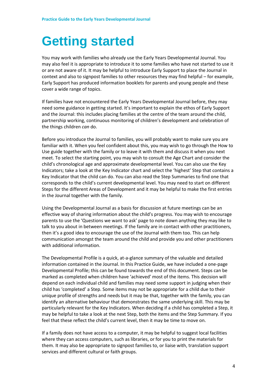## <span id="page-5-0"></span>**Getting started**

You may work with families who already use the Early Years Developmental Journal. You may also feel it is appropriate to introduce it to some families who have not started to use it or are not aware of it. It may be helpful to introduce Early Support to place the Journal in context and also to signpost families to other resources they may find helpful – for example, Early Support has produced information booklets for parents and young people and these cover a wide range of topics.

If families have not encountered the Early Years Developmental Journal before, they may need some guidance in getting started. It's important to explain the ethos of Early Support and the Journal: this includes placing families at the centre of the team around the child, partnership working, continuous monitoring of children's development and celebration of the things children *can* do.

Before you introduce the Journal to families, you will probably want to make sure you are familiar with it. When you feel confident about this, you may wish to go through the How to Use guide together with the family or to leave it with them and discuss it when you next meet. To select the starting point, you may wish to consult the Age Chart and consider the child's chronological age and approximate developmental level. You can also use the Key Indicators; take a look at the Key Indicator chart and select the 'highest' Step that contains a Key Indicator that the child can do. You can also read the Step Summaries to find one that corresponds to the child's current developmental level. You may need to start on different Steps for the different Areas of Development and it may be helpful to make the first entries in the Journal together with the family.

Using the Developmental Journal as a basis for discussion at future meetings can be an effective way of sharing information about the child's progress. You may wish to encourage parents to use the 'Questions we want to ask' page to note down anything they may like to talk to you about in between meetings. If the family are in contact with other practitioners, then it's a good idea to encourage the use of the Journal with them too. This can help communication amongst the team around the child and provide you and other practitioners with additional information.

The Developmental Profile is a quick, at-a-glance summary of the valuable and detailed information contained in the Journal. In this Practice Guide, we have included a one-page Developmental Profile; this can be found towards the end of this document. Steps can be marked as completed when children have 'achieved' most of the items. This decision will depend on each individual child and families may need some support in judging when their child has 'completed' a Step. Some items may not be appropriate for a child due to their unique profile of strengths and needs but it may be that, together with the family, you can identify an alternative behaviour that demonstrates the same underlying skill. This may be particularly relevant for the Key Indicators. When deciding if a child has completed a Step, it may be helpful to take a look at the next Step, both the items and the Step Summary. If you feel that these reflect the child's current level, then it may be time to move on.

If a family does not have access to a computer, it may be helpful to suggest local facilities where they can access computers, such as libraries, or for you to print the materials for them. It may also be appropriate to signpost families to, or liaise with, translation support services and different cultural or faith groups.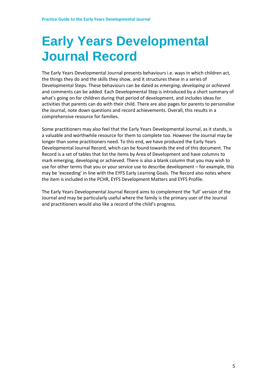### <span id="page-6-0"></span>**Early Years Developmental Journal Record**

The Early Years Developmental Journal presents behaviours i.e. ways in which children act, the things they do and the skills they show, and it structures these in a series of Developmental Steps. These behaviours can be dated as *emerging*, *developing* or *achieved* and comments can be added. Each Developmental Step is introduced by a short summary of what's going on for children during that period of development, and includes ideas for activities that parents can do with their child. There are also pages for parents to personalise the Journal, note down questions and record achievements. Overall, this results in a comprehensive resource for families.

Some practitioners may also feel that the Early Years Developmental Journal, as it stands, is a valuable and worthwhile resource for them to complete too. However the Journal may be longer than some practitioners need. To this end, we have produced the Early Years Developmental Journal Record, which can be found towards the end of this document. The Record is a set of tables that list the items by Area of Development and have columns to mark emerging, developing or achieved. There is also a blank column that you may wish to use for other terms that you or your service use to describe development – for example, this may be 'exceeding' in line with the EYFS Early Learning Goals. The Record also notes where the item is included in the PCHR, EYFS Development Matters and EYFS Profile.

The Early Years Developmental Journal Record aims to complement the 'full' version of the Journal and may be particularly useful where the family is the primary user of the Journal and practitioners would also like a record of the child's progress.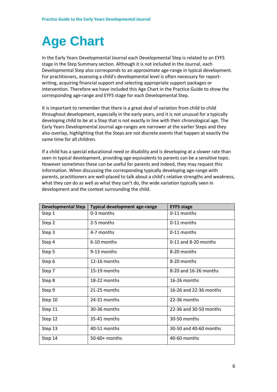# <span id="page-7-0"></span>**Age Chart**

In the Early Years Developmental Journal each Developmental Step is related to an EYFS stage in the Step Summary section. Although it is not included in the Journal, each Developmental Step also corresponds to an approximate age-range in typical development. For practitioners, assessing a child's developmental level is often necessary for reportwriting, acquiring financial support and selecting appropriate support packages or intervention. Therefore we have included this Age Chart in the Practice Guide to show the corresponding age-range and EYFS stage for each Developmental Step.

It is important to remember that there is a great deal of variation from child to child throughout development, especially in the early years, and it is not unusual for a typically developing child to be at a Step that is not exactly in line with their chronological age. The Early Years Developmental Journal age-ranges are narrower at the earlier Steps and they also overlap, highlighting that the Steps are not discrete events that happen at exactly the same time for all children.

If a child has a special educational need or disability and is developing at a slower rate than seen in typical development, providing age-equivalents to parents can be a sensitive topic. However sometimes these can be useful for parents and indeed, they may request this information. When discussing the corresponding typically developing age-range with parents, practitioners are well-placed to talk about a child's relative strengths and weakness, what they *can* do as well as what they can't do, the wide variation typically seen in development and the context surrounding the child.

| <b>Developmental Step</b> | <b>Typical development age-range</b> | <b>EYFS stage</b>      |
|---------------------------|--------------------------------------|------------------------|
| Step 1                    | 0-3 months                           | $0-11$ months          |
| Step 2                    | 2-5 months                           | 0-11 months            |
| Step 3                    | 4-7 months                           | 0-11 months            |
| Step 4                    | 6-10 months                          | $0-11$ and 8-20 months |
| Step 5                    | 9-13 months                          | 8-20 months            |
| Step 6                    | 12-16 months                         | 8-20 months            |
| Step 7                    | 15-19 months                         | 8-20 and 16-26 months  |
| Step 8                    | 18-22 months                         | 16-26 months           |
| Step 9                    | 21-25 months                         | 16-26 and 22-36 months |
| Step 10                   | 24-31 months                         | 22-36 months           |
| Step 11                   | 30-36 months                         | 22-36 and 30-50 months |
| Step 12                   | 35-41 months                         | 30-50 months           |
| Step 13                   | 40-51 months                         | 30-50 and 40-60 months |
| Step 14                   | $50-60+$ months                      | 40-60 months           |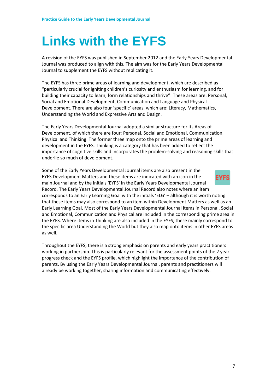### <span id="page-8-0"></span>**Links with the EYFS**

A revision of the EYFS was published in September 2012 and the Early Years Developmental Journal was produced to align with this. The aim was for the Early Years Developmental Journal to supplement the EYFS without replicating it.

The EYFS has three prime areas of learning and development, which are described as "particularly crucial for igniting children's curiosity and enthusiasm for learning, and for building their capacity to learn, form relationships and thrive". These areas are: Personal, Social and Emotional Development, Communication and Language and Physical Development. There are also four 'specific' areas, which are: Literacy, Mathematics, Understanding the World and Expressive Arts and Design.

The Early Years Developmental Journal adopted a similar structure for its Areas of Development, of which there are four: Personal, Social and Emotional, Communication, Physical and Thinking. The former three map onto the prime areas of learning and development in the EYFS. Thinking is a category that has been added to reflect the importance of cognitive skills and incorporates the problem-solving and reasoning skills that underlie so much of development.

Some of the Early Years Developmental Journal items are also present in the EYFS Development Matters and these items are indicated with an icon in the main Journal and by the initials 'EYFS' in the Early Years Developmental Journal Record. The Early Years Developmental Journal Record also notes where an item corresponds to an Early Learning Goal with the initials 'ELG' – although it is worth noting that these items may also correspond to an item within Development Matters as well as an Early Learning Goal. Most of the Early Years Developmental Journal items in Personal, Social and Emotional, Communication and Physical are included in the corresponding prime area in the EYFS. Where items in Thinking are also included in the EYFS, these mainly correspond to the specific area Understanding the World but they also map onto items in other EYFS areas as well.

Throughout the EYFS, there is a strong emphasis on parents and early years practitioners working in partnership. This is particularly relevant for the assessment points of the 2 year progress check and the EYFS profile, which highlight the importance of the contribution of parents. By using the Early Years Developmental Journal, parents and practitioners will already be working together, sharing information and communicating effectively.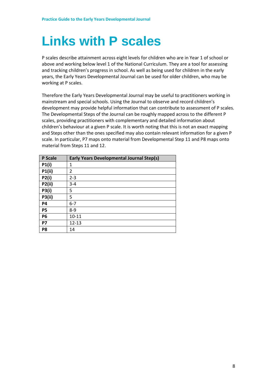### <span id="page-9-0"></span>**Links with P scales**

P scales describe attainment across eight levels for children who are in Year 1 of school or above and working below level 1 of the National Curriculum. They are a tool for assessing and tracking children's progress in school. As well as being used for children in the early years, the Early Years Developmental Journal can be used for older children, who may be working at P scales.

Therefore the Early Years Developmental Journal may be useful to practitioners working in mainstream and special schools. Using the Journal to observe and record children's development may provide helpful information that can contribute to assessment of P scales. The Developmental Steps of the Journal can be roughly mapped across to the different P scales, providing practitioners with complementary and detailed information about children's behaviour at a given P scale. It is worth noting that this is not an exact mapping and Steps other than the ones specified may also contain relevant information for a given P scale. In particular, P7 maps onto material from Developmental Step 11 and P8 maps onto material from Steps 11 and 12.

| <b>P</b> Scale | <b>Early Years Developmental Journal Step(s)</b> |
|----------------|--------------------------------------------------|
| P1(i)          | 1                                                |
| <b>P1(ii)</b>  | 2                                                |
| <b>P2(i)</b>   | $2 - 3$                                          |
| P2(ii)         | $3 - 4$                                          |
| <b>P3(i)</b>   | 5                                                |
| <b>P3(ii)</b>  | 5                                                |
| <b>P4</b>      | $6 - 7$                                          |
| <b>P5</b>      | $8-9$                                            |
| <b>P6</b>      | $10 - 11$                                        |
| <b>P7</b>      | $12 - 13$                                        |
| P8             | 14                                               |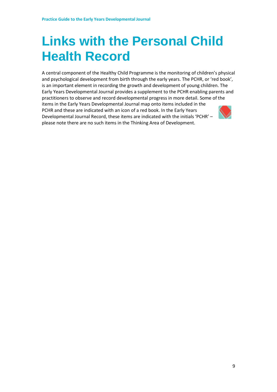### <span id="page-10-0"></span>**Links with the Personal Child Health Record**

A central component of the Healthy Child Programme is the monitoring of children's physical and psychological development from birth through the early years. The PCHR, or 'red book', is an important element in recording the growth and development of young children. The Early Years Developmental Journal provides a supplement to the PCHR enabling parents and practitioners to observe and record developmental progress in more detail. Some of the items in the Early Years Developmental Journal map onto items included in the PCHR and these are indicated with an icon of a red book. In the Early Years Developmental Journal Record, these items are indicated with the initials 'PCHR' – please note there are no such items in the Thinking Area of Development.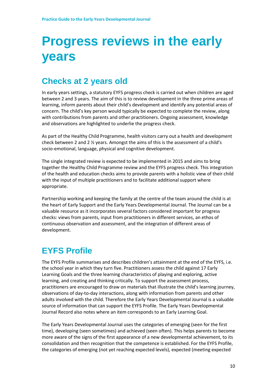### <span id="page-11-0"></span>**Progress reviews in the early years**

### <span id="page-11-1"></span>**Checks at 2 years old**

In early years settings, a statutory EYFS progress check is carried out when children are aged between 2 and 3 years. The aim of this is to review development in the three prime areas of learning, inform parents about their child's development and identify any potential areas of concern. The child's key person would typically be expected to complete the review, along with contributions from parents and other practitioners. Ongoing assessment, knowledge and observations are highlighted to underlie the progress check.

As part of the Healthy Child Programme, health visitors carry out a health and development check between 2 and 2 ½ years. Amongst the aims of this is the assessment of a child's socio-emotional, language, physical and cognitive development.

The single integrated review is expected to be implemented in 2015 and aims to bring together the Healthy Child Programme review and the EYFS progress check. This integration of the health and education checks aims to provide parents with a holistic view of their child with the input of multiple practitioners and to facilitate additional support where appropriate.

Partnership working and keeping the family at the centre of the team around the child is at the heart of Early Support and the Early Years Developmental Journal. The Journal can be a valuable resource as it incorporates several factors considered important for progress checks: views from parents, input from practitioners in different services, an ethos of continuous observation and assessment, and the integration of different areas of development.

### <span id="page-11-2"></span>**EYFS Profile**

The EYFS Profile summarises and describes children's attainment at the end of the EYFS, i.e. the school year in which they turn five. Practitioners assess the child against 17 Early Learning Goals and the three learning characteristics of playing and exploring, active learning, and creating and thinking critically. To support the assessment process, practitioners are encouraged to draw on materials that illustrate the child's learning journey, observations of day-to-day interactions, along with information from parents and other adults involved with the child. Therefore the Early Years Developmental Journal is a valuable source of information that can support the EYFS Profile. The Early Years Developmental Journal Record also notes where an item corresponds to an Early Learning Goal.

The Early Years Developmental Journal uses the categories of emerging (seen for the first time), developing (seen sometimes) and achieved (seen often). This helps parents to become more aware of the signs of the first appearance of a new developmental achievement, to its consolidation and then recognition that the competence is established. For the EYFS Profile, the categories of emerging (not yet reaching expected levels), expected (meeting expected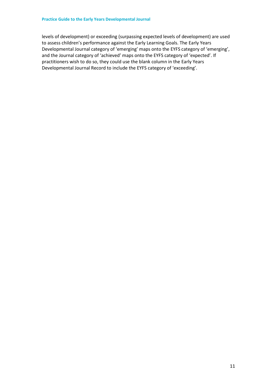levels of development) or exceeding (surpassing expected levels of development) are used to assess children's performance against the Early Learning Goals. The Early Years Developmental Journal category of 'emerging' maps onto the EYFS category of 'emerging', and the Journal category of 'achieved' maps onto the EYFS category of 'expected'. If practitioners wish to do so, they could use the blank column in the Early Years Developmental Journal Record to include the EYFS category of 'exceeding'.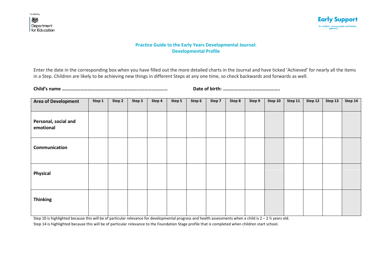

#### **Practice Guide to the Early Years Developmental Journal: Developmental Profile**

Enter the date in the corresponding box when you have filled out the more detailed charts in the Journal and have ticked 'Achieved' for nearly all the items in a Step. Children are likely to be achieving new things in different Steps at any one time, so check backwards and forwards as well.

**Child's name ……………………………………………………........................ Date of birth: ………………………………………..**

| <b>Area of Development</b>        | Step 1 | Step 2 | Step 3 | Step 4 | Step 5 | Step 6 | Step 7 | Step 8 | Step 9 | Step 10 | Step 11 | Step 12 | Step 13 | Step 14 |
|-----------------------------------|--------|--------|--------|--------|--------|--------|--------|--------|--------|---------|---------|---------|---------|---------|
|                                   |        |        |        |        |        |        |        |        |        |         |         |         |         |         |
| Personal, social and<br>emotional |        |        |        |        |        |        |        |        |        |         |         |         |         |         |
| Communication                     |        |        |        |        |        |        |        |        |        |         |         |         |         |         |
| <b>Physical</b>                   |        |        |        |        |        |        |        |        |        |         |         |         |         |         |
| <b>Thinking</b>                   |        |        |        |        |        |        |        |        |        |         |         |         |         |         |

Step 10 is highlighted because this will be of particular relevance for developmental progress and health assessments when a child is  $2 - 2 \frac{y}{2}$  years old. Step 14 is highlighted because this will be of particular relevance to the Foundation Stage profile that is completed when children start school.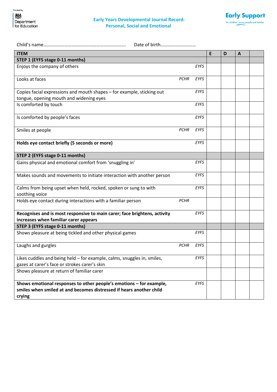

|--|--|

| <b>ITEM</b>                                                               |             |             | E | D | A |  |
|---------------------------------------------------------------------------|-------------|-------------|---|---|---|--|
| STEP 1 (EYFS stage 0-11 months)                                           |             |             |   |   |   |  |
| Enjoys the company of others                                              |             | EYFS        |   |   |   |  |
| Looks at faces                                                            | <b>PCHR</b> | <b>EYFS</b> |   |   |   |  |
|                                                                           |             |             |   |   |   |  |
| Copies facial expressions and mouth shapes - for example, sticking out    |             | <b>EYFS</b> |   |   |   |  |
| tongue, opening mouth and widening eyes                                   |             |             |   |   |   |  |
| Is comforted by touch                                                     |             | EYFS        |   |   |   |  |
| Is comforted by people's faces                                            |             | <b>EYFS</b> |   |   |   |  |
| Smiles at people                                                          | <b>PCHR</b> | <b>EYFS</b> |   |   |   |  |
|                                                                           |             |             |   |   |   |  |
| Holds eye contact briefly (5 seconds or more)                             |             | EYFS        |   |   |   |  |
| STEP 2 (EYFS stage 0-11 months)                                           |             |             |   |   |   |  |
| Gains physical and emotional comfort from 'snuggling in'                  |             | <b>EYFS</b> |   |   |   |  |
| Makes sounds and movements to initiate interaction with another person    |             | <b>EYFS</b> |   |   |   |  |
| Calms from being upset when held, rocked, spoken or sung to with          |             | EYFS        |   |   |   |  |
| soothing voice                                                            |             |             |   |   |   |  |
| Holds eye contact during interactions with a familiar person              | <b>PCHR</b> |             |   |   |   |  |
| Recognises and is most responsive to main carer; face brightens, activity |             | <b>EYFS</b> |   |   |   |  |
| increases when familiar carer appears                                     |             |             |   |   |   |  |
| STEP 3 (EYFS stage 0-11 months)                                           |             |             |   |   |   |  |
| Shows pleasure at being tickled and other physical games                  |             | <b>EYFS</b> |   |   |   |  |
| Laughs and gurgles                                                        | <b>PCHR</b> | EYFS        |   |   |   |  |
| Likes cuddles and being held - for example, calms, snuggles in, smiles,   |             | <b>EYFS</b> |   |   |   |  |
| gazes at carer's face or strokes carer's skin                             |             |             |   |   |   |  |
| Shows pleasure at return of familiar carer                                |             |             |   |   |   |  |
| Shows emotional responses to other people's emotions - for example,       |             | <b>EYFS</b> |   |   |   |  |
| smiles when smiled at and becomes distressed if hears another child       |             |             |   |   |   |  |
| crying                                                                    |             |             |   |   |   |  |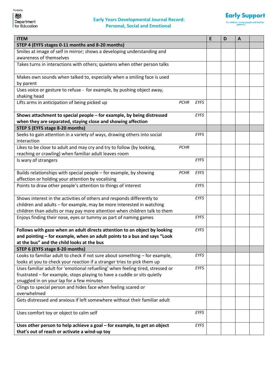

| <b>ITEM</b>                                                                                                               |             |             | E | D | A |  |
|---------------------------------------------------------------------------------------------------------------------------|-------------|-------------|---|---|---|--|
| STEP 4 (EYFS stages 0-11 months and 8-20 months)                                                                          |             |             |   |   |   |  |
| Smiles at image of self in mirror; shows a developing understanding and                                                   |             |             |   |   |   |  |
| awareness of themselves                                                                                                   |             |             |   |   |   |  |
| Takes turns in interactions with others; quietens when other person talks                                                 |             |             |   |   |   |  |
| Makes own sounds when talked to, especially when a smiling face is used                                                   |             |             |   |   |   |  |
| by parent                                                                                                                 |             |             |   |   |   |  |
| Uses voice or gesture to refuse - for example, by pushing object away,                                                    |             |             |   |   |   |  |
| shaking head                                                                                                              |             |             |   |   |   |  |
| Lifts arms in anticipation of being picked up                                                                             | <b>PCHR</b> | <b>EYFS</b> |   |   |   |  |
| Shows attachment to special people - for example, by being distressed                                                     |             | <b>EYFS</b> |   |   |   |  |
| when they are separated, staying close and showing affection                                                              |             |             |   |   |   |  |
| STEP 5 (EYFS stage 8-20 months)                                                                                           |             |             |   |   |   |  |
| Seeks to gain attention in a variety of ways, drawing others into social<br>interaction                                   |             | <b>EYFS</b> |   |   |   |  |
| Likes to be close to adult and may cry and try to follow (by looking,                                                     | <b>PCHR</b> |             |   |   |   |  |
| reaching or crawling) when familiar adult leaves room                                                                     |             |             |   |   |   |  |
| Is wary of strangers                                                                                                      |             | <b>EYFS</b> |   |   |   |  |
| Builds relationships with special people - for example, by showing                                                        | <b>PCHR</b> | EYFS        |   |   |   |  |
| affection or holding your attention by vocalising                                                                         |             |             |   |   |   |  |
| Points to draw other people's attention to things of interest                                                             |             | EYFS        |   |   |   |  |
| Shows interest in the activities of others and responds differently to                                                    |             | <b>EYFS</b> |   |   |   |  |
| children and adults - for example, may be more interested in watching                                                     |             |             |   |   |   |  |
| children than adults or may pay more attention when children talk to them                                                 |             |             |   |   |   |  |
| Enjoys finding their nose, eyes or tummy as part of naming games                                                          |             | <b>EYFS</b> |   |   |   |  |
| Follows with gaze when an adult directs attention to an object by looking                                                 |             | <b>EYFS</b> |   |   |   |  |
| and pointing - for example, when an adult points to a bus and says "Look                                                  |             |             |   |   |   |  |
| at the bus" and the child looks at the bus                                                                                |             |             |   |   |   |  |
| STEP 6 (EYFS stage 8-20 months)                                                                                           |             |             |   |   |   |  |
| Looks to familiar adult to check if not sure about something - for example,                                               |             | <b>EYFS</b> |   |   |   |  |
| looks at you to check your reaction if a stranger tries to pick them up                                                   |             |             |   |   |   |  |
| Uses familiar adult for 'emotional refuelling' when feeling tired, stressed or                                            |             | <b>EYFS</b> |   |   |   |  |
| frustrated - for example, stops playing to have a cuddle or sits quietly                                                  |             |             |   |   |   |  |
| snuggled in on your lap for a few minutes                                                                                 |             |             |   |   |   |  |
| Clings to special person and hides face when feeling scared or                                                            |             |             |   |   |   |  |
| overwhelmed                                                                                                               |             |             |   |   |   |  |
| Gets distressed and anxious if left somewhere without their familiar adult                                                |             |             |   |   |   |  |
| Uses comfort toy or object to calm self                                                                                   |             | <b>EYFS</b> |   |   |   |  |
| Uses other person to help achieve a goal - for example, to get an object<br>that's out of reach or activate a wind-up toy |             | <b>EYFS</b> |   |   |   |  |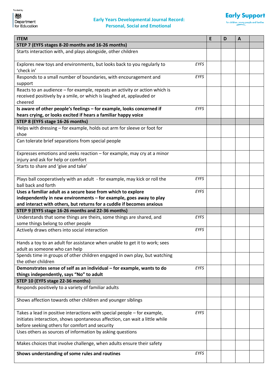

| <b>ITEM</b>                                                                 |             | E | D | A |  |
|-----------------------------------------------------------------------------|-------------|---|---|---|--|
| STEP 7 (EYFS stages 8-20 months and 16-26 months)                           |             |   |   |   |  |
| Starts interaction with, and plays alongside, other children                |             |   |   |   |  |
|                                                                             |             |   |   |   |  |
| Explores new toys and environments, but looks back to you regularly to      | EYFS        |   |   |   |  |
| 'check in'                                                                  |             |   |   |   |  |
| Responds to a small number of boundaries, with encouragement and            | EYFS        |   |   |   |  |
| support                                                                     |             |   |   |   |  |
| Reacts to an audience - for example, repeats an activity or action which is |             |   |   |   |  |
| received positively by a smile, or which is laughed at, applauded or        |             |   |   |   |  |
| cheered                                                                     |             |   |   |   |  |
| Is aware of other people's feelings - for example, looks concerned if       | <b>EYFS</b> |   |   |   |  |
| hears crying, or looks excited if hears a familiar happy voice              |             |   |   |   |  |
| STEP 8 (EYFS stage 16-26 months)                                            |             |   |   |   |  |
| Helps with dressing - for example, holds out arm for sleeve or foot for     |             |   |   |   |  |
| shoe                                                                        |             |   |   |   |  |
| Can tolerate brief separations from special people                          |             |   |   |   |  |
|                                                                             |             |   |   |   |  |
| Expresses emotions and seeks reaction - for example, may cry at a minor     |             |   |   |   |  |
| injury and ask for help or comfort                                          |             |   |   |   |  |
| Starts to share and 'give and take'                                         |             |   |   |   |  |
| Plays ball cooperatively with an adult - for example, may kick or roll the  | EYFS        |   |   |   |  |
| ball back and forth                                                         |             |   |   |   |  |
| Uses a familiar adult as a secure base from which to explore                | EYFS        |   |   |   |  |
| independently in new environments - for example, goes away to play          |             |   |   |   |  |
| and interact with others, but returns for a cuddle if becomes anxious       |             |   |   |   |  |
| STEP 9 (EYFS stage 16-26 months and 22-36 months)                           |             |   |   |   |  |
| Understands that some things are theirs, some things are shared, and        | EYFS        |   |   |   |  |
| some things belong to other people                                          |             |   |   |   |  |
| Actively draws others into social interaction                               | EYFS        |   |   |   |  |
|                                                                             |             |   |   |   |  |
| Hands a toy to an adult for assistance when unable to get it to work; sees  |             |   |   |   |  |
| adult as someone who can help                                               |             |   |   |   |  |
| Spends time in groups of other children engaged in own play, but watching   |             |   |   |   |  |
| the other children                                                          |             |   |   |   |  |
| Demonstrates sense of self as an individual - for example, wants to do      | EYFS        |   |   |   |  |
| things independently, says "No" to adult                                    |             |   |   |   |  |
| STEP 10 (EYFS stage 22-36 months)                                           |             |   |   |   |  |
| Responds positively to a variety of familiar adults                         |             |   |   |   |  |
|                                                                             |             |   |   |   |  |
| Shows affection towards other children and younger siblings                 |             |   |   |   |  |
|                                                                             |             |   |   |   |  |
| Takes a lead in positive interactions with special people - for example,    | EYFS        |   |   |   |  |
| initiates interaction, shows spontaneous affection, can wait a little while |             |   |   |   |  |
| before seeking others for comfort and security                              |             |   |   |   |  |
| Uses others as sources of information by asking questions                   |             |   |   |   |  |
| Makes choices that involve challenge, when adults ensure their safety       |             |   |   |   |  |
|                                                                             |             |   |   |   |  |
| Shows understanding of some rules and routines                              | EYFS        |   |   |   |  |
|                                                                             |             |   |   |   |  |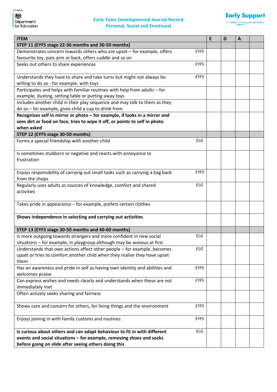

| <b>ITEM</b>                                                                   |             | E | D | A |  |
|-------------------------------------------------------------------------------|-------------|---|---|---|--|
| STEP 11 (EYFS stage 22-36 months and 30-50 months)                            |             |   |   |   |  |
| Demonstrates concern towards others who are upset - for example, offers       | <b>EYFS</b> |   |   |   |  |
| favourite toy, pats arm or back, offers cuddle and so on                      |             |   |   |   |  |
| Seeks out others to share experiences                                         | EYFS        |   |   |   |  |
|                                                                               |             |   |   |   |  |
| Understands they have to share and take turns but might not always be         | <b>EYFS</b> |   |   |   |  |
| willing to do so - for example, with toys                                     |             |   |   |   |  |
| Participates and helps with familiar routines with help from adults - for     |             |   |   |   |  |
| example, dusting, setting table or putting away toys                          |             |   |   |   |  |
| Includes another child in their play sequence and may talk to them as they    |             |   |   |   |  |
| do so - for example, gives child a cup to drink from                          |             |   |   |   |  |
| Recognises self in mirror or photo - for example, if looks in a mirror and    |             |   |   |   |  |
| sees dirt or food on face, tries to wipe it off, or points to self in photo   |             |   |   |   |  |
| when asked                                                                    |             |   |   |   |  |
| STEP 12 (EYFS stage 30-50 months)                                             |             |   |   |   |  |
| Forms a special friendship with another child                                 | <b>ELG</b>  |   |   |   |  |
|                                                                               |             |   |   |   |  |
| Is sometimes stubborn or negative and reacts with annoyance to<br>frustration |             |   |   |   |  |
|                                                                               |             |   |   |   |  |
| Enjoys responsibility of carrying out small tasks such as carrying a bag back | <b>EYFS</b> |   |   |   |  |
| from the shops                                                                |             |   |   |   |  |
| Regularly uses adults as sources of knowledge, comfort and shared             | ELG         |   |   |   |  |
| activities                                                                    |             |   |   |   |  |
|                                                                               |             |   |   |   |  |
| Takes pride in appearance - for example, prefers certain clothes              |             |   |   |   |  |
|                                                                               |             |   |   |   |  |
| Shows independence in selecting and carrying out activities                   |             |   |   |   |  |
|                                                                               |             |   |   |   |  |
| STEP 13 (EYFS stage 30-50 months and 40-60 months)                            |             |   |   |   |  |
| Is more outgoing towards strangers and more confident in new social           | <b>ELG</b>  |   |   |   |  |
| situations - for example, in playgroup although may be anxious at first       |             |   |   |   |  |
| Understands that own actions affect other people - for example, becomes       | <b>ELG</b>  |   |   |   |  |
| upset or tries to comfort another child when they realise they have upset     |             |   |   |   |  |
| them                                                                          |             |   |   |   |  |
| Has an awareness and pride in self as having own identity and abilities and   | <b>EYFS</b> |   |   |   |  |
| welcomes praise                                                               |             |   |   |   |  |
| Can express wishes and needs clearly and understands when these are not       | EYFS        |   |   |   |  |
| immediately met                                                               |             |   |   |   |  |
| Often actively seeks sharing and fairness                                     |             |   |   |   |  |
|                                                                               | EYFS        |   |   |   |  |
| Shows care and concern for others, for living things and the environment      |             |   |   |   |  |
| Enjoys joining in with family customs and routines                            | EYFS        |   |   |   |  |
|                                                                               |             |   |   |   |  |
| Is curious about others and can adapt behaviour to fit in with different      | ELG         |   |   |   |  |
| events and social situations - for example, removing shoes and socks          |             |   |   |   |  |
| before going on slide after seeing others doing this                          |             |   |   |   |  |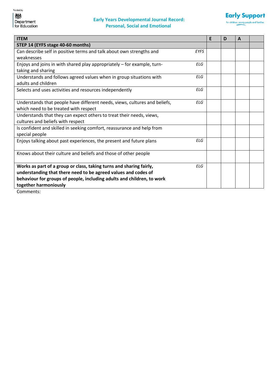

| <b>ITEM</b>                                                                |            | E | D | A |  |
|----------------------------------------------------------------------------|------------|---|---|---|--|
| STEP 14 (EYFS stage 40-60 months)                                          |            |   |   |   |  |
| Can describe self in positive terms and talk about own strengths and       | EYFS       |   |   |   |  |
| weaknesses                                                                 |            |   |   |   |  |
| Enjoys and joins in with shared play appropriately - for example, turn-    | <b>ELG</b> |   |   |   |  |
| taking and sharing                                                         |            |   |   |   |  |
| Understands and follows agreed values when in group situations with        | <b>ELG</b> |   |   |   |  |
| adults and children                                                        |            |   |   |   |  |
| Selects and uses activities and resources independently                    | <b>ELG</b> |   |   |   |  |
|                                                                            |            |   |   |   |  |
| Understands that people have different needs, views, cultures and beliefs, | ELG        |   |   |   |  |
| which need to be treated with respect                                      |            |   |   |   |  |
| Understands that they can expect others to treat their needs, views,       |            |   |   |   |  |
| cultures and beliefs with respect                                          |            |   |   |   |  |
| Is confident and skilled in seeking comfort, reassurance and help from     |            |   |   |   |  |
| special people                                                             |            |   |   |   |  |
| Enjoys talking about past experiences, the present and future plans        | <b>ELG</b> |   |   |   |  |
|                                                                            |            |   |   |   |  |
| Knows about their culture and beliefs and those of other people            |            |   |   |   |  |
|                                                                            |            |   |   |   |  |
| Works as part of a group or class, taking turns and sharing fairly,        | ELG        |   |   |   |  |
| understanding that there need to be agreed values and codes of             |            |   |   |   |  |
| behaviour for groups of people, including adults and children, to work     |            |   |   |   |  |
| together harmoniously                                                      |            |   |   |   |  |
| Commonte:                                                                  |            |   |   |   |  |

Comments: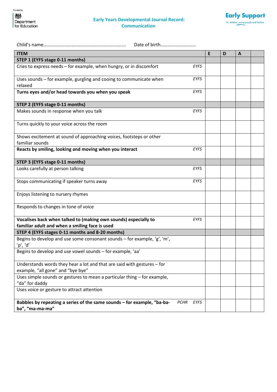#### **Early Years Developmental Journal Record: Communication**



| Date of birth                                                                                                     |             |   |   |   |  |
|-------------------------------------------------------------------------------------------------------------------|-------------|---|---|---|--|
| <b>ITEM</b>                                                                                                       |             | E | D | A |  |
| STEP 1 (EYFS stage 0-11 months)                                                                                   |             |   |   |   |  |
| Cries to express needs - for example, when hungry, or in discomfort                                               | <b>EYFS</b> |   |   |   |  |
| Uses sounds - for example, gurgling and cooing to communicate when<br>relaxed                                     | <b>EYFS</b> |   |   |   |  |
| Turns eyes and/or head towards you when you speak                                                                 | <b>EYFS</b> |   |   |   |  |
| STEP 2 (EYFS stage 0-11 months)                                                                                   |             |   |   |   |  |
| Makes sounds in response when you talk                                                                            | <b>EYFS</b> |   |   |   |  |
| Turns quickly to your voice across the room                                                                       |             |   |   |   |  |
| Shows excitement at sound of approaching voices, footsteps or other<br>familiar sounds                            |             |   |   |   |  |
| Reacts by smiling, looking and moving when you interact                                                           | EYFS        |   |   |   |  |
| STEP 3 (EYFS stage 0-11 months)                                                                                   |             |   |   |   |  |
| Looks carefully at person talking                                                                                 | EYFS        |   |   |   |  |
| Stops communicating if speaker turns away                                                                         | EYFS        |   |   |   |  |
| Enjoys listening to nursery rhymes                                                                                |             |   |   |   |  |
| Responds to changes in tone of voice                                                                              |             |   |   |   |  |
| Vocalises back when talked to (making own sounds) especially to<br>familiar adult and when a smiling face is used | <b>EYFS</b> |   |   |   |  |
| STEP 4 (EYFS stages 0-11 months and 8-20 months)                                                                  |             |   |   |   |  |
| Begins to develop and use some consonant sounds - for example, 'g', 'm',<br>'p', 'd'                              |             |   |   |   |  |
| Begins to develop and use vowel sounds - for example, 'aa'                                                        |             |   |   |   |  |
| Understands words they hear a lot and that are said with gestures $-$ for<br>example, "all gone" and "bye bye"    |             |   |   |   |  |
| Uses simple sounds or gestures to mean a particular thing - for example,<br>"da" for daddy                        |             |   |   |   |  |
| Uses voice or gesture to attract attention                                                                        |             |   |   |   |  |
| Babbles by repeating a series of the same sounds - for example, "ba-ba-<br><b>PCHR</b><br>ba", "ma-ma-ma"         | EYFS        |   |   |   |  |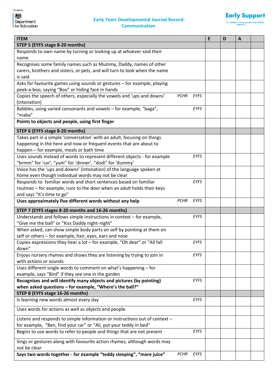$\blacksquare$ 

#### **Early Years Developmental Journal Record: Communication**



 $\overline{\phantom{a}}$ 

 $\blacksquare$ 

| <b>ITEM</b>                                                                              |             |             | E | D | A |  |
|------------------------------------------------------------------------------------------|-------------|-------------|---|---|---|--|
| STEP 5 (EYFS stage 8-20 months)                                                          |             |             |   |   |   |  |
| Responds to own name by turning or looking up at whoever said their                      |             |             |   |   |   |  |
| name                                                                                     |             |             |   |   |   |  |
| Recognises some family names such as Mummy, Daddy, names of other                        |             |             |   |   |   |  |
| carers, brothers and sisters, or pets, and will turn to look when the name<br>is said    |             |             |   |   |   |  |
| Asks for favourite games using sounds or gestures - for example, playing                 |             |             |   |   |   |  |
| peek-a-boo, saying "Boo" or hiding face in hands                                         |             |             |   |   |   |  |
| Copies the speech of others, especially the vowels and 'ups and downs'<br>(intonation)   | <b>PCHR</b> | <b>EYFS</b> |   |   |   |  |
| Babbles, using varied consonants and vowels - for example, "baga",<br>"maba"             |             | <b>EYFS</b> |   |   |   |  |
| Points to objects and people, using first finger                                         |             |             |   |   |   |  |
| STEP 6 (EYFS stage 8-20 months)                                                          |             |             |   |   |   |  |
| Takes part in a simple 'conversation' with an adult, focusing on things                  |             |             |   |   |   |  |
| happening in the here and now or frequent events that are about to                       |             |             |   |   |   |  |
| happen - for example, meals or bath time                                                 |             |             |   |   |   |  |
| Uses sounds instead of words to represent different objects - for example                |             | <b>EYFS</b> |   |   |   |  |
| "brmm" for 'car', "yum" for 'dinner', "dodi" for 'dummy'                                 |             |             |   |   |   |  |
| Voice has the 'ups and downs' (intonation) of the language spoken at                     |             |             |   |   |   |  |
| home even though individual words may not be clear                                       |             |             |   |   |   |  |
| Responds to familiar words and short sentences based on familiar                         |             | <b>EYFS</b> |   |   |   |  |
| routines - for example, runs to the door when an adult holds their keys                  |             |             |   |   |   |  |
| and says "It's time to go"                                                               |             |             |   |   |   |  |
| Uses approximately five different words without any help                                 | <b>PCHR</b> | EYFS        |   |   |   |  |
| STEP 7 (EYFS stages 8-20 months and 16-26 months)                                        |             |             |   |   |   |  |
| Understands and follows simple instructions in context - for example,                    |             | <b>EYFS</b> |   |   |   |  |
| "Give me the ball" or "Kiss Daddy night-night"                                           |             |             |   |   |   |  |
| When asked, can show simple body parts on self by pointing at them on                    |             |             |   |   |   |  |
| self or others - for example, hair, eyes, ears and nose                                  |             |             |   |   |   |  |
| Copies expressions they hear a lot - for example, "Oh dear" or "All fall<br>down"        |             | <b>EYFS</b> |   |   |   |  |
| Enjoys nursery rhymes and shows they are listening by trying to join in                  |             | EYFS        |   |   |   |  |
| with actions or sounds                                                                   |             |             |   |   |   |  |
| Uses different single words to comment on what's happening - for                         |             |             |   |   |   |  |
| example, says "Bird" if they see one in the garden                                       |             |             |   |   |   |  |
| Recognises and will identify many objects and pictures (by pointing)                     |             | <b>EYFS</b> |   |   |   |  |
| when asked questions - for example, "Where's the ball?"                                  |             |             |   |   |   |  |
| STEP 8 (EYFS stage 16-26 months)                                                         |             |             |   |   |   |  |
| Is learning new words almost every day                                                   |             | EYFS        |   |   |   |  |
| Uses words for actions as well as objects and people                                     |             |             |   |   |   |  |
| Listens and responds to simple information or instructions out of context -              |             |             |   |   |   |  |
| for example, "Ben, find your car" or "Ali, put your teddy in bed"                        |             |             |   |   |   |  |
| Begins to use words to refer to people and things that are not present                   |             | <b>EYFS</b> |   |   |   |  |
| Sings or gestures along with favourite action rhymes, although words may<br>not be clear |             |             |   |   |   |  |
| Says two words together - for example "teddy sleeping", "more juice"                     | <b>PCHR</b> | EYFS        |   |   |   |  |
|                                                                                          |             |             |   |   |   |  |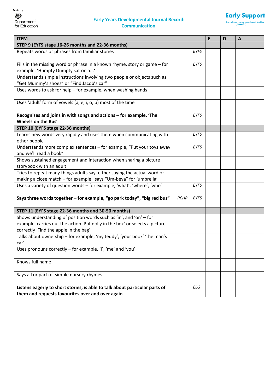#### **Early Years Developmental Journal Record: Communication**



| <b>ITEM</b>                                                                                                                     |             | E | D | A |  |
|---------------------------------------------------------------------------------------------------------------------------------|-------------|---|---|---|--|
| STEP 9 (EYFS stage 16-26 months and 22-36 months)                                                                               |             |   |   |   |  |
| Repeats words or phrases from familiar stories                                                                                  | <b>EYFS</b> |   |   |   |  |
| Fills in the missing word or phrase in a known rhyme, story or game - for                                                       | EYFS        |   |   |   |  |
| example, 'Humpty Dumpty sat on a'                                                                                               |             |   |   |   |  |
| Understands simple instructions involving two people or objects such as                                                         |             |   |   |   |  |
| "Get Mummy's shoes" or "Find Jacob's car"                                                                                       |             |   |   |   |  |
| Uses words to ask for help - for example, when washing hands                                                                    |             |   |   |   |  |
| Uses 'adult' form of vowels (a, e, i, o, u) most of the time                                                                    |             |   |   |   |  |
| Recognises and joins in with songs and actions - for example, 'The<br>Wheels on the Bus'                                        | EYFS        |   |   |   |  |
| STEP 10 (EYFS stage 22-36 months)                                                                                               |             |   |   |   |  |
| Learns new words very rapidly and uses them when communicating with                                                             | <b>EYFS</b> |   |   |   |  |
| other people                                                                                                                    |             |   |   |   |  |
| Understands more complex sentences - for example, "Put your toys away                                                           | EYFS        |   |   |   |  |
| and we'll read a book"                                                                                                          |             |   |   |   |  |
| Shows sustained engagement and interaction when sharing a picture                                                               |             |   |   |   |  |
| storybook with an adult                                                                                                         |             |   |   |   |  |
| Tries to repeat many things adults say, either saying the actual word or                                                        |             |   |   |   |  |
| making a close match - for example, says "Um-beya" for 'umbrella'                                                               |             |   |   |   |  |
| Uses a variety of question words - for example, 'what', 'where', 'who'                                                          | <b>EYFS</b> |   |   |   |  |
| Says three words together - for example, "go park today", "big red bus"<br><b>PCHR</b>                                          | EYFS        |   |   |   |  |
| STEP 11 (EYFS stage 22-36 months and 30-50 months)                                                                              |             |   |   |   |  |
| Shows understanding of position words such as 'in', and 'on' - for                                                              |             |   |   |   |  |
| example, carries out the action 'Put dolly in the box' or selects a picture                                                     |             |   |   |   |  |
| correctly 'Find the apple in the bag'                                                                                           |             |   |   |   |  |
| Talks about ownership - for example, 'my teddy', 'your book' 'the man's<br>car'                                                 |             |   |   |   |  |
| Uses pronouns correctly - for example, 'I', 'me' and 'you'                                                                      |             |   |   |   |  |
| Knows full name                                                                                                                 |             |   |   |   |  |
| Says all or part of simple nursery rhymes                                                                                       |             |   |   |   |  |
| Listens eagerly to short stories, is able to talk about particular parts of<br>them and requests favourites over and over again | ELG         |   |   |   |  |
|                                                                                                                                 |             |   |   |   |  |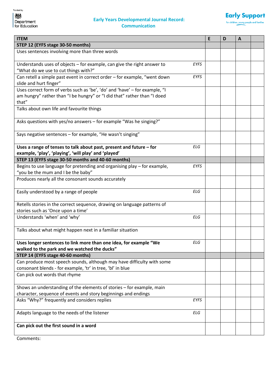#### **Early Years Developmental Journal Record: Communication**



| <b>ITEM</b>                                                                                                 |             | E | D | $\mathbf{A}$ |  |
|-------------------------------------------------------------------------------------------------------------|-------------|---|---|--------------|--|
| STEP 12 (EYFS stage 30-50 months)                                                                           |             |   |   |              |  |
| Uses sentences involving more than three words                                                              |             |   |   |              |  |
| Understands uses of objects - for example, can give the right answer to                                     | <b>EYFS</b> |   |   |              |  |
| "What do we use to cut things with?"                                                                        |             |   |   |              |  |
| Can retell a simple past event in correct order - for example, "went down                                   | EYFS        |   |   |              |  |
| slide and hurt finger"                                                                                      |             |   |   |              |  |
| Uses correct form of verbs such as 'be', 'do' and 'have' - for example, "I                                  |             |   |   |              |  |
| am hungry" rather than "I be hungry" or "I did that" rather than "I doed                                    |             |   |   |              |  |
| that"                                                                                                       |             |   |   |              |  |
| Talks about own life and favourite things                                                                   |             |   |   |              |  |
| Asks questions with yes/no answers - for example "Was he singing?"                                          |             |   |   |              |  |
| Says negative sentences - for example, "He wasn't singing"                                                  |             |   |   |              |  |
| Uses a range of tenses to talk about past, present and future - for                                         | <b>ELG</b>  |   |   |              |  |
| example, 'play', 'playing', 'will play' and 'played'                                                        |             |   |   |              |  |
| STEP 13 (EYFS stage 30-50 months and 40-60 months)                                                          |             |   |   |              |  |
| Begins to use language for pretending and organising play - for example,                                    | <b>EYFS</b> |   |   |              |  |
| "you be the mum and I be the baby"                                                                          |             |   |   |              |  |
| Produces nearly all the consonant sounds accurately                                                         |             |   |   |              |  |
| Easily understood by a range of people                                                                      | <b>ELG</b>  |   |   |              |  |
| Retells stories in the correct sequence, drawing on language patterns of                                    |             |   |   |              |  |
| stories such as 'Once upon a time'                                                                          |             |   |   |              |  |
| Understands 'when' and 'why'                                                                                | <b>ELG</b>  |   |   |              |  |
| Talks about what might happen next in a familiar situation                                                  |             |   |   |              |  |
| Uses longer sentences to link more than one idea, for example "We                                           | ELG         |   |   |              |  |
| walked to the park and we watched the ducks"                                                                |             |   |   |              |  |
| STEP 14 (EYFS stage 40-60 months)<br>Can produce most speech sounds, although may have difficulty with some |             |   |   |              |  |
| consonant blends - for example, 'tr' in tree, 'bl' in blue                                                  |             |   |   |              |  |
| Can pick out words that rhyme                                                                               |             |   |   |              |  |
|                                                                                                             |             |   |   |              |  |
| Shows an understanding of the elements of stories - for example, main                                       |             |   |   |              |  |
| character, sequence of events and story beginnings and endings                                              |             |   |   |              |  |
| Asks "Why?" frequently and considers replies                                                                | <b>EYFS</b> |   |   |              |  |
| Adapts language to the needs of the listener                                                                | ELG         |   |   |              |  |
| Can pick out the first sound in a word                                                                      |             |   |   |              |  |

Comments: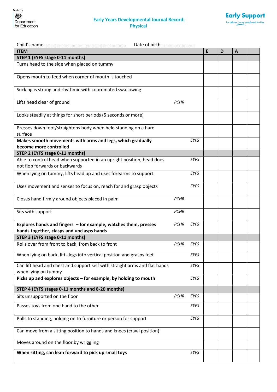

| Date of birth                                                                                                |             |             |   |   |              |  |
|--------------------------------------------------------------------------------------------------------------|-------------|-------------|---|---|--------------|--|
| <b>ITEM</b>                                                                                                  |             |             | E | D | $\mathbf{A}$ |  |
| STEP 1 (EYFS stage 0-11 months)                                                                              |             |             |   |   |              |  |
| Turns head to the side when placed on tummy                                                                  |             |             |   |   |              |  |
| Opens mouth to feed when corner of mouth is touched                                                          |             |             |   |   |              |  |
| Sucking is strong and rhythmic with coordinated swallowing                                                   |             |             |   |   |              |  |
| Lifts head clear of ground                                                                                   | <b>PCHR</b> |             |   |   |              |  |
| Looks steadily at things for short periods (5 seconds or more)                                               |             |             |   |   |              |  |
| Presses down foot/straightens body when held standing on a hard<br>surface                                   |             |             |   |   |              |  |
| Makes smooth movements with arms and legs, which gradually                                                   |             | <b>EYFS</b> |   |   |              |  |
| become more controlled                                                                                       |             |             |   |   |              |  |
| STEP 2 (EYFS stage 0-11 months)                                                                              |             |             |   |   |              |  |
| Able to control head when supported in an upright position; head does<br>not flop forwards or backwards      |             | <b>EYFS</b> |   |   |              |  |
| When lying on tummy, lifts head up and uses forearms to support                                              |             | <b>EYFS</b> |   |   |              |  |
| Uses movement and senses to focus on, reach for and grasp objects                                            |             | EYFS        |   |   |              |  |
| Closes hand firmly around objects placed in palm                                                             | <b>PCHR</b> |             |   |   |              |  |
| Sits with support                                                                                            | <b>PCHR</b> |             |   |   |              |  |
| Explores hands and fingers - for example, watches them, presses<br>hands together, clasps and unclasps hands | <b>PCHR</b> | EYFS        |   |   |              |  |
| STEP 3 (EYFS stage 0-11 months)                                                                              |             |             |   |   |              |  |
| Rolls over from front to back, from back to front                                                            | <b>PCHR</b> | <b>EYFS</b> |   |   |              |  |
| When lying on back, lifts legs into vertical position and grasps feet                                        |             | <b>EYFS</b> |   |   |              |  |
| Can lift head and chest and support self with straight arms and flat hands<br>when lying on tummy            |             | EYFS        |   |   |              |  |
| Picks up and explores objects - for example, by holding to mouth                                             |             | EYFS        |   |   |              |  |
| STEP 4 (EYFS stages 0-11 months and 8-20 months)                                                             |             |             |   |   |              |  |
| Sits unsupported on the floor                                                                                | <b>PCHR</b> | EYFS        |   |   |              |  |
| Passes toys from one hand to the other                                                                       |             | <b>EYFS</b> |   |   |              |  |
| Pulls to standing, holding on to furniture or person for support                                             |             | EYFS        |   |   |              |  |
| Can move from a sitting position to hands and knees (crawl position)                                         |             |             |   |   |              |  |
| Moves around on the floor by wriggling                                                                       |             |             |   |   |              |  |
| When sitting, can lean forward to pick up small toys                                                         |             | EYFS        |   |   |              |  |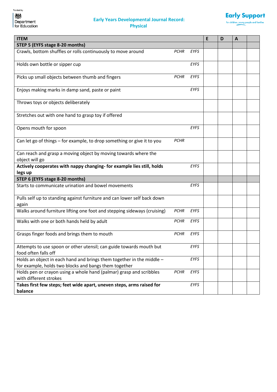

| <b>ITEM</b>                                                                                                                    |             |             | E | D | A |  |
|--------------------------------------------------------------------------------------------------------------------------------|-------------|-------------|---|---|---|--|
| STEP 5 (EYFS stage 8-20 months)                                                                                                |             |             |   |   |   |  |
| Crawls, bottom shuffles or rolls continuously to move around                                                                   | <b>PCHR</b> | <b>EYFS</b> |   |   |   |  |
| Holds own bottle or sipper cup                                                                                                 |             | <b>EYFS</b> |   |   |   |  |
| Picks up small objects between thumb and fingers                                                                               | <b>PCHR</b> | <b>EYFS</b> |   |   |   |  |
| Enjoys making marks in damp sand, paste or paint                                                                               |             | <b>EYFS</b> |   |   |   |  |
| Throws toys or objects deliberately                                                                                            |             |             |   |   |   |  |
| Stretches out with one hand to grasp toy if offered                                                                            |             |             |   |   |   |  |
| Opens mouth for spoon                                                                                                          |             | <b>EYFS</b> |   |   |   |  |
| Can let go of things - for example, to drop something or give it to you                                                        | <b>PCHR</b> |             |   |   |   |  |
| Can reach and grasp a moving object by moving towards where the<br>object will go                                              |             |             |   |   |   |  |
| Actively cooperates with nappy changing- for example lies still, holds<br>legs up                                              |             | <b>EYFS</b> |   |   |   |  |
| STEP 6 (EYFS stage 8-20 months)                                                                                                |             |             |   |   |   |  |
| Starts to communicate urination and bowel movements                                                                            |             | EYFS        |   |   |   |  |
| Pulls self up to standing against furniture and can lower self back down<br>again                                              |             |             |   |   |   |  |
| Walks around furniture lifting one foot and stepping sideways (cruising)                                                       | <b>PCHR</b> | <b>EYFS</b> |   |   |   |  |
| Walks with one or both hands held by adult                                                                                     | <b>PCHR</b> | EYFS        |   |   |   |  |
| Grasps finger foods and brings them to mouth                                                                                   | <b>PCHR</b> | <b>EYFS</b> |   |   |   |  |
| Attempts to use spoon or other utensil; can guide towards mouth but<br>food often falls off                                    |             | EYFS        |   |   |   |  |
| Holds an object in each hand and brings them together in the middle -<br>for example, holds two blocks and bangs them together |             | EYFS        |   |   |   |  |
| Holds pen or crayon using a whole hand (palmar) grasp and scribbles<br>with different strokes                                  | <b>PCHR</b> | <b>EYFS</b> |   |   |   |  |
| Takes first few steps; feet wide apart, uneven steps, arms raised for                                                          |             | EYFS        |   |   |   |  |
| balance                                                                                                                        |             |             |   |   |   |  |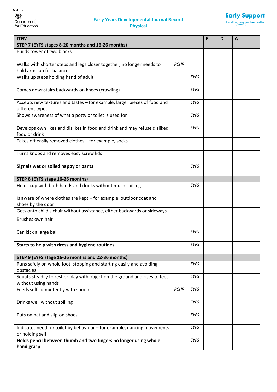

| <b>ITEM</b>                                                                                        |                     | E | D | $\mathbf{A}$ |  |
|----------------------------------------------------------------------------------------------------|---------------------|---|---|--------------|--|
| STEP 7 (EYFS stages 8-20 months and 16-26 months)                                                  |                     |   |   |              |  |
| Builds tower of two blocks                                                                         |                     |   |   |              |  |
| Walks with shorter steps and legs closer together, no longer needs to<br>hold arms up for balance  | <b>PCHR</b>         |   |   |              |  |
| Walks up steps holding hand of adult                                                               | <b>EYFS</b>         |   |   |              |  |
| Comes downstairs backwards on knees (crawling)                                                     | <b>EYFS</b>         |   |   |              |  |
| Accepts new textures and tastes - for example, larger pieces of food and<br>different types        | <b>EYFS</b>         |   |   |              |  |
| Shows awareness of what a potty or toilet is used for                                              | EYFS                |   |   |              |  |
| Develops own likes and dislikes in food and drink and may refuse disliked<br>food or drink         | EYFS                |   |   |              |  |
| Takes off easily removed clothes - for example, socks                                              |                     |   |   |              |  |
| Turns knobs and removes easy screw lids                                                            |                     |   |   |              |  |
| Signals wet or soiled nappy or pants                                                               | <b>EYFS</b>         |   |   |              |  |
| STEP 8 (EYFS stage 16-26 months)                                                                   |                     |   |   |              |  |
| Holds cup with both hands and drinks without much spilling                                         | <b>EYFS</b>         |   |   |              |  |
| Is aware of where clothes are kept - for example, outdoor coat and                                 |                     |   |   |              |  |
| shoes by the door                                                                                  |                     |   |   |              |  |
| Gets onto child's chair without assistance, either backwards or sideways                           |                     |   |   |              |  |
| Brushes own hair                                                                                   |                     |   |   |              |  |
| Can kick a large ball                                                                              | <b>EYFS</b>         |   |   |              |  |
| Starts to help with dress and hygiene routines                                                     | EYFS                |   |   |              |  |
| STEP 9 (EYFS stage 16-26 months and 22-36 months)                                                  |                     |   |   |              |  |
| Runs safely on whole foot, stopping and starting easily and avoiding<br>obstacles                  | EYFS                |   |   |              |  |
| Squats steadily to rest or play with object on the ground and rises to feet<br>without using hands | EYFS                |   |   |              |  |
| Feeds self competently with spoon                                                                  | <b>PCHR</b><br>EYFS |   |   |              |  |
| Drinks well without spilling                                                                       | EYFS                |   |   |              |  |
| Puts on hat and slip-on shoes                                                                      | EYFS                |   |   |              |  |
| Indicates need for toilet by behaviour - for example, dancing movements<br>or holding self         | EYFS                |   |   |              |  |
| Holds pencil between thumb and two fingers no longer using whole<br>hand grasp                     | EYFS                |   |   |              |  |
|                                                                                                    |                     |   |   |              |  |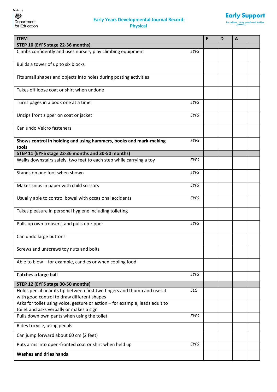

| <b>ITEM</b>                                                                                                                           | E | D | A |  |
|---------------------------------------------------------------------------------------------------------------------------------------|---|---|---|--|
| STEP 10 (EYFS stage 22-36 months)                                                                                                     |   |   |   |  |
| Climbs confidently and uses nursery play climbing equipment<br><b>EYFS</b>                                                            |   |   |   |  |
| Builds a tower of up to six blocks                                                                                                    |   |   |   |  |
| Fits small shapes and objects into holes during posting activities                                                                    |   |   |   |  |
| Takes off loose coat or shirt when undone                                                                                             |   |   |   |  |
| <b>EYFS</b><br>Turns pages in a book one at a time                                                                                    |   |   |   |  |
| EYFS<br>Unzips front zipper on coat or jacket                                                                                         |   |   |   |  |
| Can undo Velcro fasteners                                                                                                             |   |   |   |  |
| Shows control in holding and using hammers, books and mark-making<br><b>EYFS</b><br>tools                                             |   |   |   |  |
| STEP 11 (EYFS stage 22-36 months and 30-50 months)                                                                                    |   |   |   |  |
| Walks downstairs safely, two feet to each step while carrying a toy<br>EYFS                                                           |   |   |   |  |
| Stands on one foot when shown<br>EYFS                                                                                                 |   |   |   |  |
| Makes snips in paper with child scissors<br><b>EYFS</b>                                                                               |   |   |   |  |
| Usually able to control bowel with occasional accidents<br><b>EYFS</b>                                                                |   |   |   |  |
| Takes pleasure in personal hygiene including toileting                                                                                |   |   |   |  |
| EYFS<br>Pulls up own trousers, and pulls up zipper                                                                                    |   |   |   |  |
| Can undo large buttons                                                                                                                |   |   |   |  |
| Screws and unscrews toy nuts and bolts                                                                                                |   |   |   |  |
| Able to blow - for example, candles or when cooling food                                                                              |   |   |   |  |
| Catches a large ball<br><b>EYFS</b>                                                                                                   |   |   |   |  |
| STEP 12 (EYFS stage 30-50 months)                                                                                                     |   |   |   |  |
| Holds pencil near its tip between first two fingers and thumb and uses it<br><b>ELG</b><br>with good control to draw different shapes |   |   |   |  |
| Asks for toilet using voice, gesture or action - for example, leads adult to                                                          |   |   |   |  |
| toilet and asks verbally or makes a sign<br>Pulls down own pants when using the toilet<br><b>EYFS</b>                                 |   |   |   |  |
| Rides tricycle, using pedals                                                                                                          |   |   |   |  |
| Can jump forward about 60 cm (2 feet)                                                                                                 |   |   |   |  |
| Puts arms into open-fronted coat or shirt when held up<br><b>EYFS</b>                                                                 |   |   |   |  |
| <b>Washes and dries hands</b>                                                                                                         |   |   |   |  |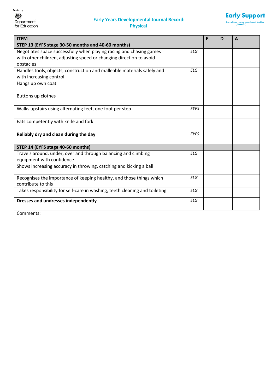

| <b>ITEM</b>                                                                 |             | E | D | A |  |
|-----------------------------------------------------------------------------|-------------|---|---|---|--|
| STEP 13 (EYFS stage 30-50 months and 40-60 months)                          |             |   |   |   |  |
| Negotiates space successfully when playing racing and chasing games         | <b>ELG</b>  |   |   |   |  |
| with other children, adjusting speed or changing direction to avoid         |             |   |   |   |  |
| obstacles                                                                   |             |   |   |   |  |
| Handles tools, objects, construction and malleable materials safely and     | <b>ELG</b>  |   |   |   |  |
| with increasing control                                                     |             |   |   |   |  |
| Hangs up own coat                                                           |             |   |   |   |  |
|                                                                             |             |   |   |   |  |
| Buttons up clothes                                                          |             |   |   |   |  |
|                                                                             |             |   |   |   |  |
| Walks upstairs using alternating feet, one foot per step                    | <b>EYFS</b> |   |   |   |  |
|                                                                             |             |   |   |   |  |
| Eats competently with knife and fork                                        |             |   |   |   |  |
|                                                                             |             |   |   |   |  |
| Reliably dry and clean during the day                                       | <b>EYFS</b> |   |   |   |  |
|                                                                             |             |   |   |   |  |
| STEP 14 (EYFS stage 40-60 months)                                           |             |   |   |   |  |
| Travels around, under, over and through balancing and climbing              | <b>ELG</b>  |   |   |   |  |
| equipment with confidence                                                   |             |   |   |   |  |
| Shows increasing accuracy in throwing, catching and kicking a ball          |             |   |   |   |  |
|                                                                             |             |   |   |   |  |
| Recognises the importance of keeping healthy, and those things which        | <b>ELG</b>  |   |   |   |  |
| contribute to this                                                          |             |   |   |   |  |
| Takes responsibility for self-care in washing, teeth cleaning and toileting | <b>ELG</b>  |   |   |   |  |
| Dresses and undresses independently                                         | <b>ELG</b>  |   |   |   |  |
|                                                                             |             |   |   |   |  |
|                                                                             |             |   |   |   |  |

Comments: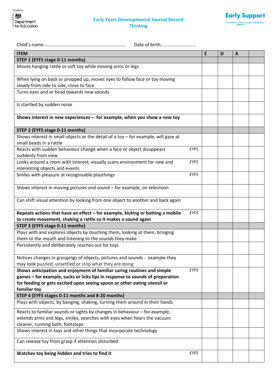

| Date of birth                                                                                                                                                                             |             |   |   |              |  |
|-------------------------------------------------------------------------------------------------------------------------------------------------------------------------------------------|-------------|---|---|--------------|--|
| <b>ITEM</b>                                                                                                                                                                               |             | E | D | $\mathbf{A}$ |  |
| STEP 1 (EYFS stage 0-11 months)                                                                                                                                                           |             |   |   |              |  |
| Moves hanging rattle or soft toy while moving arms or legs                                                                                                                                |             |   |   |              |  |
| When lying on back or propped up, moves eyes to follow face or toy moving                                                                                                                 |             |   |   |              |  |
| slowly from side to side, close to face                                                                                                                                                   |             |   |   |              |  |
| Turns eyes and or head towards new sounds                                                                                                                                                 |             |   |   |              |  |
| Is startled by sudden noise                                                                                                                                                               |             |   |   |              |  |
| Shows interest in new experiences - for example, when you show a new toy                                                                                                                  |             |   |   |              |  |
| STEP 2 (EYFS stage 0-11 months)                                                                                                                                                           |             |   |   |              |  |
| Shows interest in small objects or the detail of a toy $-$ for example, will gaze at<br>small beads in a rattle                                                                           |             |   |   |              |  |
| Reacts with sudden behaviour change when a face or object disappears<br>suddenly from view                                                                                                | EYFS        |   |   |              |  |
| Looks around a room with interest; visually scans environment for new and<br>interesting objects and events                                                                               | EYFS        |   |   |              |  |
| Smiles with pleasure at recognisable playthings                                                                                                                                           | <b>EYFS</b> |   |   |              |  |
| Shows interest in moving pictures and sound - for example, on television                                                                                                                  |             |   |   |              |  |
| Can shift visual attention by looking from one object to another and back again                                                                                                           |             |   |   |              |  |
| Repeats actions that have an effect - for example, kicking or batting a mobile                                                                                                            | <b>EYFS</b> |   |   |              |  |
| to create movement, shaking a rattle so it makes a sound again                                                                                                                            |             |   |   |              |  |
| STEP 3 (EYFS stage 0-11 months)                                                                                                                                                           |             |   |   |              |  |
| Plays with and explores objects by touching them, looking at them, bringing<br>them to the mouth and listening to the sounds they make                                                    |             |   |   |              |  |
| Persistently and deliberately reaches out for toys                                                                                                                                        |             |   |   |              |  |
| Notices changes in groupings of objects, pictures and sounds - example they<br>may look puzzled, unsettled or stop what they are doing                                                    |             |   |   |              |  |
| Shows anticipation and enjoyment of familiar caring routines and simple                                                                                                                   | <b>EYFS</b> |   |   |              |  |
| games – for example, sucks or licks lips in response to sounds of preparation                                                                                                             |             |   |   |              |  |
| for feeding or gets excited upon seeing spoon or other eating utensil or<br>familiar toy                                                                                                  |             |   |   |              |  |
| STEP 4 (EYFS stages 0-11 months and 8-20 months)                                                                                                                                          |             |   |   |              |  |
| Plays with objects, by banging, shaking, turning them around in their hands                                                                                                               |             |   |   |              |  |
|                                                                                                                                                                                           |             |   |   |              |  |
| Reacts to familiar sounds or sights by changes in behaviour - for example,<br>extends arms and legs, smiles, searches with eyes when hears the vacuum<br>cleaner, running bath, footsteps |             |   |   |              |  |
| Shows interest in toys and other things that incorporate technology                                                                                                                       |             |   |   |              |  |
| Can release toy from grasp if attention disturbed                                                                                                                                         |             |   |   |              |  |
| Watches toy being hidden and tries to find it                                                                                                                                             | EYFS        |   |   |              |  |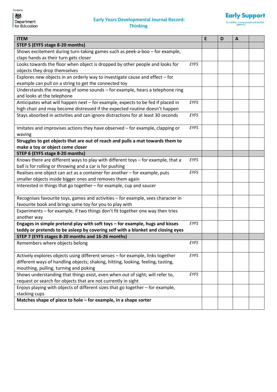

| <b>ITEM</b>                                                                                     | E | D | A |  |
|-------------------------------------------------------------------------------------------------|---|---|---|--|
| STEP 5 (EYFS stage 8-20 months)                                                                 |   |   |   |  |
| Shows excitement during turn-taking games such as peek-a-boo - for example,                     |   |   |   |  |
| claps hands as their turn gets closer                                                           |   |   |   |  |
| Looks towards the floor when object is dropped by other people and looks for<br><b>EYFS</b>     |   |   |   |  |
| objects they drop themselves                                                                    |   |   |   |  |
| Explores new objects in an orderly way to investigate cause and effect $-$ for                  |   |   |   |  |
| example can pull on a string to get the connected toy                                           |   |   |   |  |
| Understands the meaning of some sounds - for example, hears a telephone ring                    |   |   |   |  |
| and looks at the telephone                                                                      |   |   |   |  |
| Anticipates what will happen next - for example, expects to be fed if placed in<br>EYFS         |   |   |   |  |
| high chair and may become distressed if the expected routine doesn't happen                     |   |   |   |  |
| Stays absorbed in activities and can ignore distractions for at least 30 seconds<br>EYFS        |   |   |   |  |
| EYFS<br>Imitates and improvises actions they have observed - for example, clapping or<br>waving |   |   |   |  |
| Struggles to get objects that are out of reach and pulls a mat towards them to                  |   |   |   |  |
| make a toy or object come closer                                                                |   |   |   |  |
| STEP 6 (EYFS stage 8-20 months)                                                                 |   |   |   |  |
| Knows there are different ways to play with different toys - for example, that a<br>EYFS        |   |   |   |  |
| ball is for rolling or throwing and a car is for pushing                                        |   |   |   |  |
| Realises one object can act as a container for another - for example, puts<br>EYFS              |   |   |   |  |
| smaller objects inside bigger ones and removes them again                                       |   |   |   |  |
| Interested in things that go together - for example, cup and saucer                             |   |   |   |  |
|                                                                                                 |   |   |   |  |
| Recognises favourite toys, games and activities - for example, sees character in                |   |   |   |  |
| favourite book and brings same toy for you to play with                                         |   |   |   |  |
| Experiments - for example, if two things don't fit together one way then tries<br>another way   |   |   |   |  |
| Engages in simple pretend play with soft toys - for example, hugs and kisses<br>EYFS            |   |   |   |  |
| teddy or pretends to be asleep by covering self with a blanket and closing eyes                 |   |   |   |  |
| STEP 7 (EYFS stages 8-20 months and 16-26 months)                                               |   |   |   |  |
| <b>EYFS</b><br>Remembers where objects belong                                                   |   |   |   |  |
| Actively explores objects using different senses - for example, links together<br>EYFS          |   |   |   |  |
| different ways of handling objects; shaking, hitting, looking, feeling, tasting,                |   |   |   |  |
| mouthing, pulling, turning and poking                                                           |   |   |   |  |
| Shows understanding that things exist, even when out of sight; will refer to,<br>EYFS           |   |   |   |  |
| request or search for objects that are not currently in sight                                   |   |   |   |  |
| Enjoys playing with objects of different sizes that go together - for example,                  |   |   |   |  |
| stacking cups                                                                                   |   |   |   |  |
| Matches shape of piece to hole - for example, in a shape sorter                                 |   |   |   |  |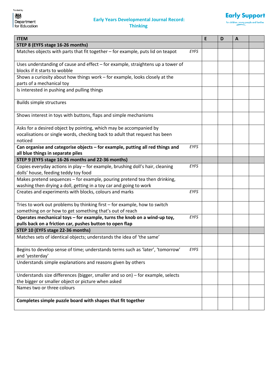

| <b>ITEM</b>                                                                                       |             | E | D | $\mathbf{A}$ |  |
|---------------------------------------------------------------------------------------------------|-------------|---|---|--------------|--|
| STEP 8 (EYFS stage 16-26 months)                                                                  |             |   |   |              |  |
| Matches objects with parts that fit together - for example, puts lid on teapot                    | EYFS        |   |   |              |  |
| Uses understanding of cause and effect – for example, straightens up a tower of                   |             |   |   |              |  |
| blocks if it starts to wobble                                                                     |             |   |   |              |  |
| Shows a curiosity about how things work - for example, looks closely at the                       |             |   |   |              |  |
| parts of a mechanical toy                                                                         |             |   |   |              |  |
| Is interested in pushing and pulling things                                                       |             |   |   |              |  |
| Builds simple structures                                                                          |             |   |   |              |  |
| Shows interest in toys with buttons, flaps and simple mechanisms                                  |             |   |   |              |  |
| Asks for a desired object by pointing, which may be accompanied by                                |             |   |   |              |  |
| vocalisations or single words, checking back to adult that request has been                       |             |   |   |              |  |
| noticed                                                                                           |             |   |   |              |  |
| Can organise and categorise objects - for example, putting all red things and                     | <b>EYFS</b> |   |   |              |  |
| all blue things in separate piles                                                                 |             |   |   |              |  |
| STEP 9 (EYFS stage 16-26 months and 22-36 months)                                                 |             |   |   |              |  |
| Copies everyday actions in play - for example, brushing doll's hair, cleaning                     | <b>EYFS</b> |   |   |              |  |
| dolls' house, feeding teddy toy food                                                              |             |   |   |              |  |
| Makes pretend sequences - for example, pouring pretend tea then drinking,                         |             |   |   |              |  |
| washing then drying a doll, getting in a toy car and going to work                                |             |   |   |              |  |
| Creates and experiments with blocks, colours and marks                                            | EYFS        |   |   |              |  |
| Tries to work out problems by thinking first - for example, how to switch                         |             |   |   |              |  |
| something on or how to get something that's out of reach                                          |             |   |   |              |  |
| Operates mechanical toys - for example, turns the knob on a wind-up toy,                          | <b>EYFS</b> |   |   |              |  |
| pulls back on a friction car, pushes button to open flap                                          |             |   |   |              |  |
| STEP 10 (EYFS stage 22-36 months)                                                                 |             |   |   |              |  |
| Matches sets of identical objects; understands the idea of 'the same'                             |             |   |   |              |  |
| Begins to develop sense of time; understands terms such as 'later', 'tomorrow'<br>and 'yesterday' | EYFS        |   |   |              |  |
| Understands simple explanations and reasons given by others                                       |             |   |   |              |  |
| Understands size differences (bigger, smaller and so on) - for example, selects                   |             |   |   |              |  |
| the bigger or smaller object or picture when asked                                                |             |   |   |              |  |
| Names two or three colours                                                                        |             |   |   |              |  |
| Completes simple puzzle board with shapes that fit together                                       |             |   |   |              |  |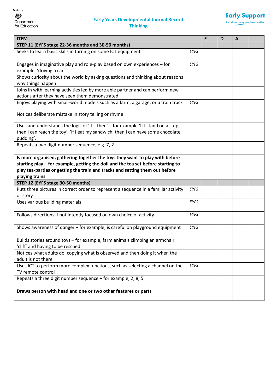

| <b>ITEM</b>                                                                                                                                                                                                                                                        |             | E | D | $\mathbf{A}$ |  |
|--------------------------------------------------------------------------------------------------------------------------------------------------------------------------------------------------------------------------------------------------------------------|-------------|---|---|--------------|--|
| STEP 11 (EYFS stage 22-36 months and 30-50 months)                                                                                                                                                                                                                 |             |   |   |              |  |
| Seeks to learn basic skills in turning on some ICT equipment                                                                                                                                                                                                       | <b>EYFS</b> |   |   |              |  |
| Engages in imaginative play and role-play based on own experiences - for<br>example, 'driving a car'                                                                                                                                                               | <b>EYFS</b> |   |   |              |  |
| Shows curiosity about the world by asking questions and thinking about reasons<br>why things happen                                                                                                                                                                |             |   |   |              |  |
| Joins in with learning activities led by more able partner and can perform new<br>actions after they have seen them demonstrated                                                                                                                                   |             |   |   |              |  |
| Enjoys playing with small-world models such as a farm, a garage, or a train track                                                                                                                                                                                  | EYFS        |   |   |              |  |
| Notices deliberate mistake in story telling or rhyme                                                                                                                                                                                                               |             |   |   |              |  |
| Uses and understands the logic of 'ifthen' - for example 'If I stand on a step,<br>then I can reach the toy', 'If I eat my sandwich, then I can have some chocolate<br>pudding'.                                                                                   |             |   |   |              |  |
| Repeats a two digit number sequence, e.g. 7, 2                                                                                                                                                                                                                     |             |   |   |              |  |
| Is more organised, gathering together the toys they want to play with before<br>starting play - for example, getting the doll and the tea set before starting to<br>play tea-parties or getting the train and tracks and setting them out before<br>playing trains |             |   |   |              |  |
| STEP 12 (EYFS stage 30-50 months)                                                                                                                                                                                                                                  |             |   |   |              |  |
| Puts three pictures in correct order to represent a sequence in a familiar activity<br>or story                                                                                                                                                                    | <b>EYFS</b> |   |   |              |  |
| Uses various building materials                                                                                                                                                                                                                                    | <b>EYFS</b> |   |   |              |  |
| Follows directions if not intently focused on own choice of activity                                                                                                                                                                                               | <b>EYFS</b> |   |   |              |  |
| Shows awareness of danger - for example, is careful on playground equipment                                                                                                                                                                                        | <b>EYFS</b> |   |   |              |  |
| Builds stories around toys - for example, farm animals climbing an armchair<br>'cliff' and having to be rescued                                                                                                                                                    |             |   |   |              |  |
| Notices what adults do, copying what is observed and then doing it when the<br>adult is not there                                                                                                                                                                  |             |   |   |              |  |
| Uses ICT to perform more complex functions, such as selecting a channel on the<br>TV remote control                                                                                                                                                                | <b>EYFS</b> |   |   |              |  |
| Repeats a three digit number sequence - for example, 2, 8, 5                                                                                                                                                                                                       |             |   |   |              |  |
| Draws person with head and one or two other features or parts                                                                                                                                                                                                      |             |   |   |              |  |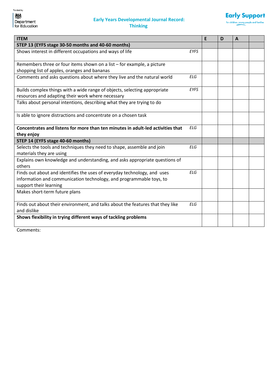



| <b>ITEM</b>                                                                           |             | E | D | A |  |
|---------------------------------------------------------------------------------------|-------------|---|---|---|--|
| STEP 13 (EYFS stage 30-50 months and 40-60 months)                                    |             |   |   |   |  |
| Shows interest in different occupations and ways of life                              | <b>EYFS</b> |   |   |   |  |
|                                                                                       |             |   |   |   |  |
| Remembers three or four items shown on a list $-$ for example, a picture              |             |   |   |   |  |
| shopping list of apples, oranges and bananas                                          |             |   |   |   |  |
| Comments and asks questions about where they live and the natural world               | <b>ELG</b>  |   |   |   |  |
| Builds complex things with a wide range of objects, selecting appropriate             | <b>EYFS</b> |   |   |   |  |
| resources and adapting their work where necessary                                     |             |   |   |   |  |
| Talks about personal intentions, describing what they are trying to do                |             |   |   |   |  |
| Is able to ignore distractions and concentrate on a chosen task                       |             |   |   |   |  |
| Concentrates and listens for more than ten minutes in adult-led activities that       | <b>ELG</b>  |   |   |   |  |
| they enjoy                                                                            |             |   |   |   |  |
| STEP 14 (EYFS stage 40-60 months)                                                     |             |   |   |   |  |
| Selects the tools and techniques they need to shape, assemble and join                | <b>ELG</b>  |   |   |   |  |
| materials they are using                                                              |             |   |   |   |  |
| Explains own knowledge and understanding, and asks appropriate questions of<br>others |             |   |   |   |  |
| Finds out about and identifies the uses of everyday technology, and uses              | <b>ELG</b>  |   |   |   |  |
| information and communication technology, and programmable toys, to                   |             |   |   |   |  |
| support their learning                                                                |             |   |   |   |  |
| Makes short-term future plans                                                         |             |   |   |   |  |
| Finds out about their environment, and talks about the features that they like        | <b>ELG</b>  |   |   |   |  |
| and dislike                                                                           |             |   |   |   |  |
| Shows flexibility in trying different ways of tackling problems                       |             |   |   |   |  |
|                                                                                       |             |   |   |   |  |

Comments: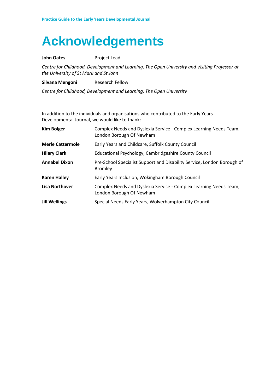### **Acknowledgements**

#### **John Oates** Project Lead

*Centre for Childhood, Development and Learning, The Open University and Visiting Professor at the University of St Mark and St John*

**Silvana Mengoni** Research Fellow

*Centre for Childhood, Development and Learning, The Open University*

In addition to the individuals and organisations who contributed to the Early Years Developmental Journal, we would like to thank:

| <b>Kim Bolger</b>       | Complex Needs and Dyslexia Service - Complex Learning Needs Team,<br>London Borough Of Newham |
|-------------------------|-----------------------------------------------------------------------------------------------|
| <b>Merle Cattermole</b> | Early Years and Childcare, Suffolk County Council                                             |
| <b>Hilary Clark</b>     | Educational Psychology, Cambridgeshire County Council                                         |
| <b>Annabel Dixon</b>    | Pre-School Specialist Support and Disability Service, London Borough of<br><b>Bromley</b>     |
| <b>Karen Halley</b>     | Early Years Inclusion, Wokingham Borough Council                                              |
| <b>Lisa Northover</b>   | Complex Needs and Dyslexia Service - Complex Learning Needs Team,<br>London Borough Of Newham |
| <b>Jill Wellings</b>    | Special Needs Early Years, Wolverhampton City Council                                         |